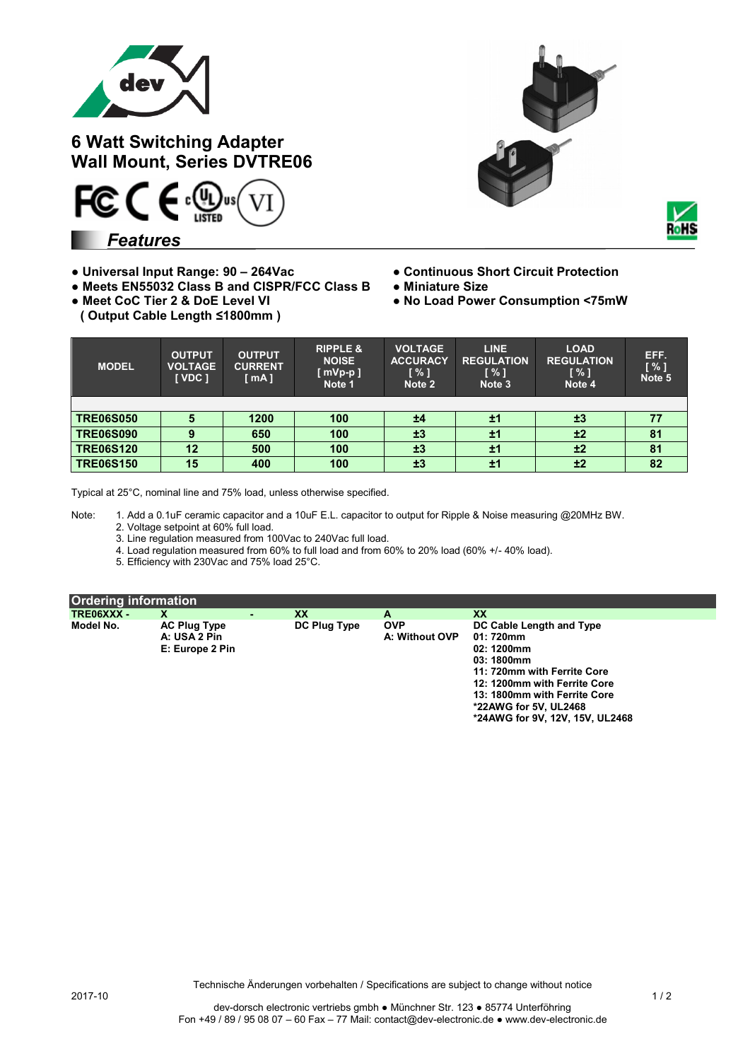

**6 Watt Switching Adapter Wall Mount, Series DVTRE06**



*Features*

- **Universal Input Range: 90 – 264Vac Continuous Short Circuit Protection**
- **Meets EN55032 Class B and CISPR/FCC Class B Miniature Size**
- 
- **( Output Cable Length ≤1800mm )**





- 
- 
- **No Load Power Consumption <75mW**

| <b>MODEL</b>     | <b>OUTPUT</b><br><b>VOLTAGE</b><br>[ VDC ] | <b>OUTPUT</b><br><b>CURRENT</b><br>[mA] | <b>RIPPLE &amp;</b><br><b>NOISE</b><br>$[$ mVp-p $]$<br>Note 1 | <b>VOLTAGE</b><br><b>ACCURACY</b><br>$\sqrt{3}$<br>Note 2 | <b>LINE</b><br><b>REGULATION</b><br>$\sqrt{3}$<br>Note 3 | <b>LOAD</b><br><b>REGULATION</b><br>[ % ]<br>Note 4 | EFF.<br>[%]<br>Note 5 |
|------------------|--------------------------------------------|-----------------------------------------|----------------------------------------------------------------|-----------------------------------------------------------|----------------------------------------------------------|-----------------------------------------------------|-----------------------|
|                  |                                            |                                         |                                                                |                                                           |                                                          |                                                     |                       |
| <b>TRE06S050</b> | 5                                          | 1200                                    | 100                                                            | ±4                                                        | ±1                                                       | ±3                                                  |                       |
| <b>TRE06S090</b> | 9                                          | 650                                     | 100                                                            | ±3                                                        | ±1                                                       | ±2                                                  | 81                    |
| <b>TRE06S120</b> | 12                                         | 500                                     | 100                                                            | ±3                                                        | ±1                                                       | ±2                                                  | 81                    |
| <b>TRE06S150</b> | 15                                         | 400                                     | 100                                                            | ±3                                                        | ±1                                                       | ±2                                                  | 82                    |

Typical at 25°C, nominal line and 75% load, unless otherwise specified.

Note: 1. Add a 0.1uF ceramic capacitor and a 10uF E.L. capacitor to output for Ripple & Noise measuring @20MHz BW. 2. Voltage setpoint at 60% full load.

3. Line regulation measured from 100Vac to 240Vac full load.

4. Load regulation measured from 60% to full load and from 60% to 20% load (60% +/- 40% load).

5. Efficiency with 230Vac and 75% load 25°C.

| Ordering information |                                                        |              |                              |                                                                                                                                                                                                                              |
|----------------------|--------------------------------------------------------|--------------|------------------------------|------------------------------------------------------------------------------------------------------------------------------------------------------------------------------------------------------------------------------|
| TRE06XXX -           |                                                        | XX           | А                            | <b>XX</b>                                                                                                                                                                                                                    |
| Model No.            | <b>AC Plug Type</b><br>A: USA 2 Pin<br>E: Europe 2 Pin | DC Plug Type | <b>OVP</b><br>A: Without OVP | DC Cable Length and Type<br>01: 720mm<br>02: 1200mm<br>03: 1800mm<br>11: 720mm with Ferrite Core<br>12: 1200mm with Ferrite Core<br>13: 1800mm with Ferrite Core<br>*22AWG for 5V, UL2468<br>*24AWG for 9V, 12V, 15V, UL2468 |